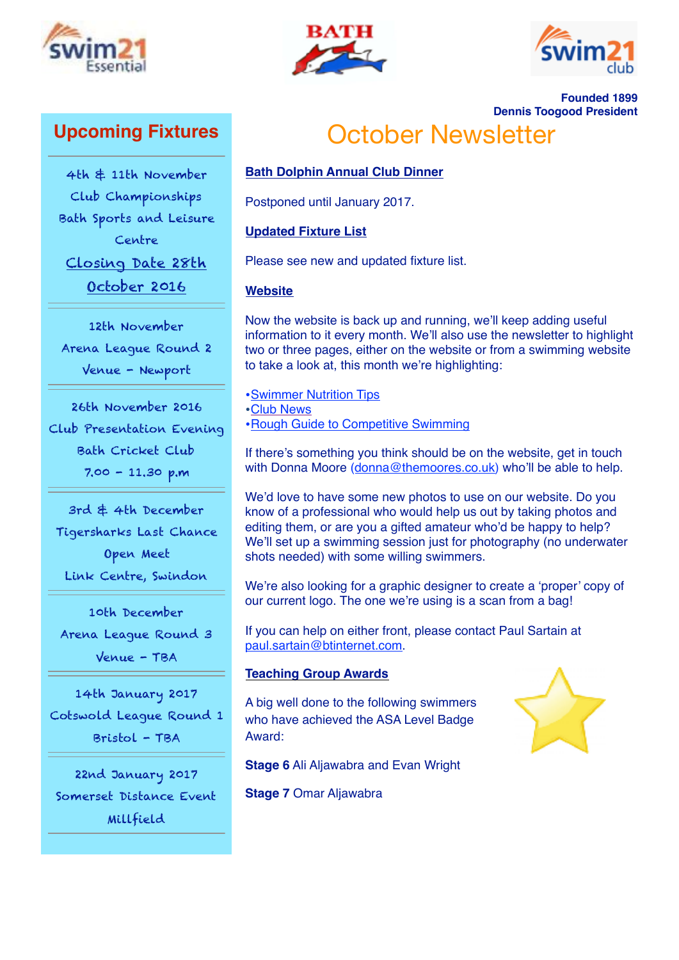





**Founded 1899**

# **Upcoming Fixtures**

4th & 11th November Club Championships Bath Sports and Leisure Centre Closing Date 28th

October 2016

12th November Arena League Round 2 Venue - Newport

26th November 2016 Club Presentation Evening Bath Cricket Club 7.00 - 11.30 p.m

3rd & 4th December Tigersharks Last Chance Open Meet Link Centre, Swindon

10th December Arena League Round 3 Venue - TBA

14th January 2017 Cotswold League Round 1 Bristol - TBA

22nd January 2017 Somerset Distance Event Millfield

**Dennis Toogood President** October Newsletter

## **Bath Dolphin Annual Club Dinner**

Postponed until January 2017.

## **Updated Fixture List**

Please see new and updated fixture list.

## **Website**

Now the website is back up and running, we'll keep adding useful information to it every month. We'll also use the newsletter to highlight two or three pages, either on the website or from a swimming website to take a look at, this month we're highlighting:

•[Swimmer Nutrition Tips](http://www.swimming.org/sport/swim-parents-advice/young-swimmer-nutrition/) •[Club News](http://bathdolphin.co.uk/category/club-news/) •[Rough Guide to Competitive Swimming](http://bathdolphin.co.uk/wp-content/uploads/2013/06/20161015_Rough_Guide_To_Competitive_Swiming.pdf)

If there's something you think should be on the website, get in touch with Donna Moore ([donna@themoores.co.uk](mailto:donna@themoores.co.uk)) who'll be able to help.

We'd love to have some new photos to use on our website. Do you know of a professional who would help us out by taking photos and editing them, or are you a gifted amateur who'd be happy to help? We'll set up a swimming session just for photography (no underwater shots needed) with some willing swimmers.

We're also looking for a graphic designer to create a 'proper' copy of our current logo. The one we're using is a scan from a bag!

If you can help on either front, please contact Paul Sartain at [paul.sartain@btinternet.com.](mailto:paul.sartain@btinternet.com)

#### **Teaching Group Awards**

A big well done to the following swimmers who have achieved the ASA Level Badge Award:



**Stage 6** Ali Aljawabra and Evan Wright

**Stage 7** Omar Aljawabra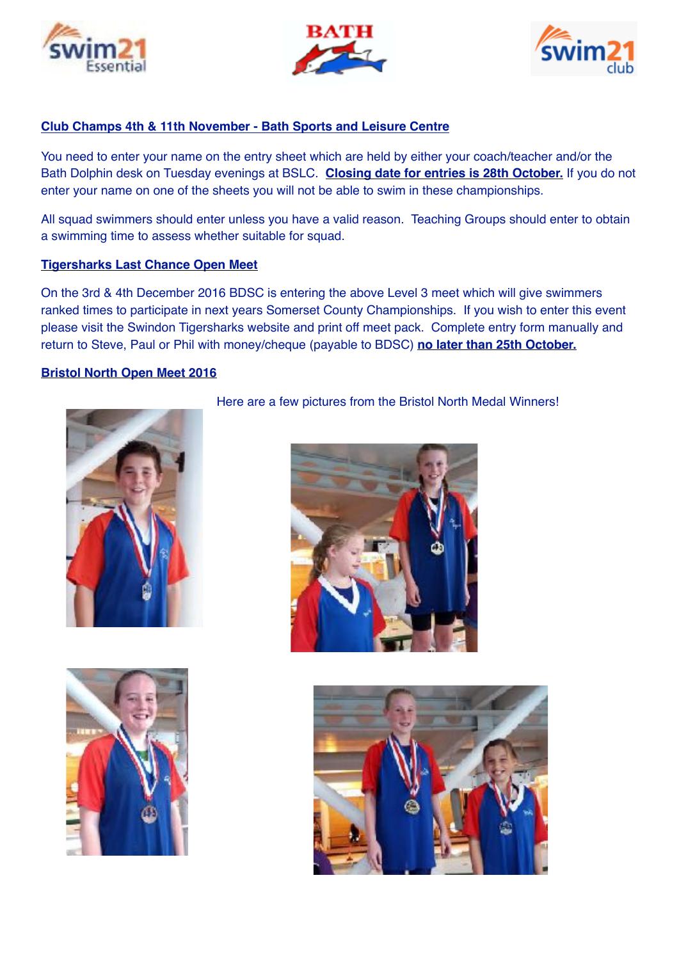





## **Club Champs 4th & 11th November - Bath Sports and Leisure Centre**

You need to enter your name on the entry sheet which are held by either your coach/teacher and/or the Bath Dolphin desk on Tuesday evenings at BSLC. **Closing date for entries is 28th October.** If you do not enter your name on one of the sheets you will not be able to swim in these championships.

All squad swimmers should enter unless you have a valid reason. Teaching Groups should enter to obtain a swimming time to assess whether suitable for squad.

#### **Tigersharks Last Chance Open Meet**

On the 3rd & 4th December 2016 BDSC is entering the above Level 3 meet which will give swimmers ranked times to participate in next years Somerset County Championships. If you wish to enter this event please visit the Swindon Tigersharks website and print off meet pack. Complete entry form manually and return to Steve, Paul or Phil with money/cheque (payable to BDSC) **no later than 25th October.**

#### **Bristol North Open Meet 2016**



## Here are a few pictures from the Bristol North Medal Winners!